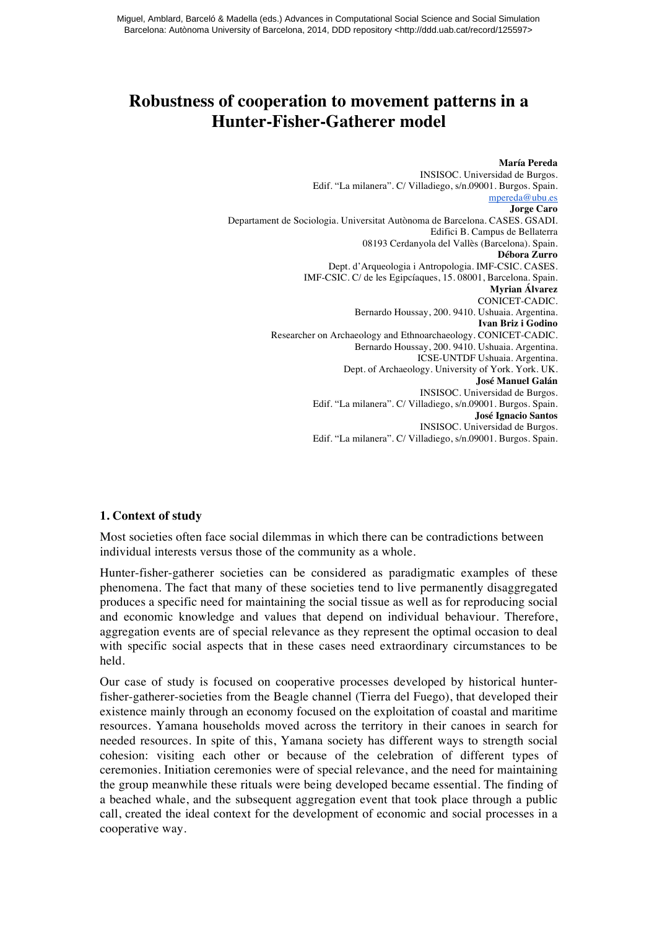# **Robustness of cooperation to movement patterns in a Hunter-Fisher-Gatherer model**

**María Pereda** INSISOC. Universidad de Burgos. Edif. "La milanera". C/ Villadiego, s/n.09001. Burgos. Spain. mpereda@ubu.es **Jorge Caro** Departament de Sociologia. Universitat Autònoma de Barcelona. CASES. GSADI. Edifici B. Campus de Bellaterra 08193 Cerdanyola del Vallès (Barcelona). Spain. **Débora Zurro** Dept. d'Arqueologia i Antropologia. IMF-CSIC. CASES. IMF-CSIC. C/ de les Egipcíaques, 15. 08001, Barcelona. Spain. **Myrian Álvarez** CONICET-CADIC. Bernardo Houssay, 200. 9410. Ushuaia. Argentina. **Ivan Briz i Godino** Researcher on Archaeology and Ethnoarchaeology. CONICET-CADIC. Bernardo Houssay, 200. 9410. Ushuaia. Argentina. ICSE-UNTDF Ushuaia. Argentina. Dept. of Archaeology. University of York. York. UK. **José Manuel Galán** INSISOC. Universidad de Burgos. Edif. "La milanera". C/ Villadiego, s/n.09001. Burgos. Spain. **José Ignacio Santos** INSISOC. Universidad de Burgos. Edif. "La milanera". C/ Villadiego, s/n.09001. Burgos. Spain.

## **1. Context of study**

Most societies often face social dilemmas in which there can be contradictions between individual interests versus those of the community as a whole.

Hunter-fisher-gatherer societies can be considered as paradigmatic examples of these phenomena. The fact that many of these societies tend to live permanently disaggregated produces a specific need for maintaining the social tissue as well as for reproducing social and economic knowledge and values that depend on individual behaviour. Therefore, aggregation events are of special relevance as they represent the optimal occasion to deal with specific social aspects that in these cases need extraordinary circumstances to be held.

Our case of study is focused on cooperative processes developed by historical hunterfisher-gatherer-societies from the Beagle channel (Tierra del Fuego), that developed their existence mainly through an economy focused on the exploitation of coastal and maritime resources. Yamana households moved across the territory in their canoes in search for needed resources. In spite of this, Yamana society has different ways to strength social cohesion: visiting each other or because of the celebration of different types of ceremonies. Initiation ceremonies were of special relevance, and the need for maintaining the group meanwhile these rituals were being developed became essential. The finding of a beached whale, and the subsequent aggregation event that took place through a public call, created the ideal context for the development of economic and social processes in a cooperative way.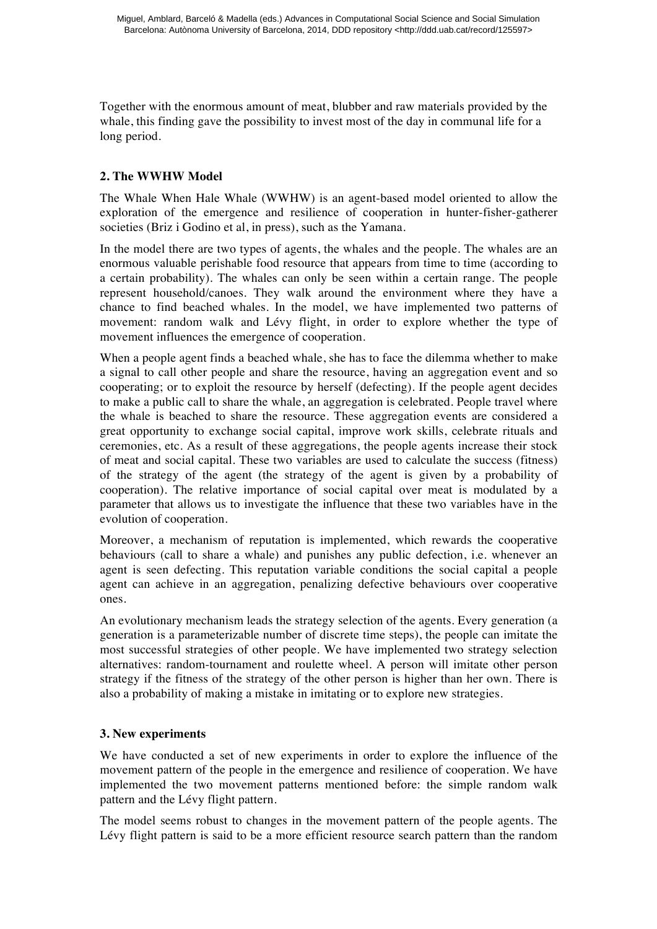Together with the enormous amount of meat, blubber and raw materials provided by the whale, this finding gave the possibility to invest most of the day in communal life for a long period.

# **2. The WWHW Model**

The Whale When Hale Whale (WWHW) is an agent-based model oriented to allow the exploration of the emergence and resilience of cooperation in hunter-fisher-gatherer societies (Briz i Godino et al, in press), such as the Yamana.

In the model there are two types of agents, the whales and the people. The whales are an enormous valuable perishable food resource that appears from time to time (according to a certain probability). The whales can only be seen within a certain range. The people represent household/canoes. They walk around the environment where they have a chance to find beached whales. In the model, we have implemented two patterns of movement: random walk and Lévy flight, in order to explore whether the type of movement influences the emergence of cooperation.

When a people agent finds a beached whale, she has to face the dilemma whether to make a signal to call other people and share the resource, having an aggregation event and so cooperating; or to exploit the resource by herself (defecting). If the people agent decides to make a public call to share the whale, an aggregation is celebrated. People travel where the whale is beached to share the resource. These aggregation events are considered a great opportunity to exchange social capital, improve work skills, celebrate rituals and ceremonies, etc. As a result of these aggregations, the people agents increase their stock of meat and social capital. These two variables are used to calculate the success (fitness) of the strategy of the agent (the strategy of the agent is given by a probability of cooperation). The relative importance of social capital over meat is modulated by a parameter that allows us to investigate the influence that these two variables have in the evolution of cooperation.

Moreover, a mechanism of reputation is implemented, which rewards the cooperative behaviours (call to share a whale) and punishes any public defection, i.e. whenever an agent is seen defecting. This reputation variable conditions the social capital a people agent can achieve in an aggregation, penalizing defective behaviours over cooperative ones.

An evolutionary mechanism leads the strategy selection of the agents. Every generation (a generation is a parameterizable number of discrete time steps), the people can imitate the most successful strategies of other people. We have implemented two strategy selection alternatives: random-tournament and roulette wheel. A person will imitate other person strategy if the fitness of the strategy of the other person is higher than her own. There is also a probability of making a mistake in imitating or to explore new strategies.

## **3. New experiments**

We have conducted a set of new experiments in order to explore the influence of the movement pattern of the people in the emergence and resilience of cooperation. We have implemented the two movement patterns mentioned before: the simple random walk pattern and the Lévy flight pattern.

The model seems robust to changes in the movement pattern of the people agents. The Lévy flight pattern is said to be a more efficient resource search pattern than the random